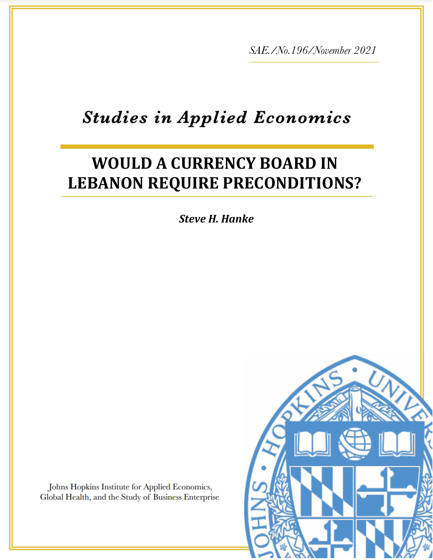*SAE./No.196/November 2021*

# **Studies in Applied Economics**

# **WOULD A CURRENCY BOARD IN LEBANON REQUIRE PRECONDITIONS?**

*Steve H. Hanke*

*Hanke*

Johns Hopkins Institute for Applied Economics, Global Health, and the Study of Business Enterprise

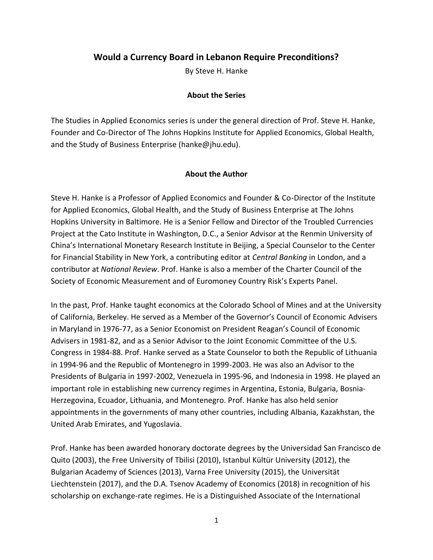# **Would a Currency Board in Lebanon Require Preconditions?**

By Steve H. Hanke

#### **About the Series**

The Studies in Applied Economics series is under the general direction of Prof. Steve H. Hanke, Founder and Co-Director of The Johns Hopkins Institute for Applied Economics, Global Health, and the Study of Business Enterprise (hanke@jhu.edu).

#### **About the Author**

Steve H. Hanke is a Professor of Applied Economics and Founder & Co-Director of the Institute for Applied Economics, Global Health, and the Study of Business Enterprise at The Johns Hopkins University in Baltimore. He is a Senior Fellow and Director of the Troubled Currencies Project at the Cato Institute in Washington, D.C., a Senior Advisor at the Renmin University of China's International Monetary Research Institute in Beijing, a Special Counselor to the Center for Financial Stability in New York, a contributing editor at *Central Banking* in London, and a contributor at *National Review*. Prof. Hanke is also a member of the Charter Council of the Society of Economic Measurement and of Euromoney Country Risk's Experts Panel.

In the past, Prof. Hanke taught economics at the Colorado School of Mines and at the University of California, Berkeley. He served as a Member of the Governor's Council of Economic Advisers in Maryland in 1976-77, as a Senior Economist on President Reagan's Council of Economic Advisers in 1981-82, and as a Senior Advisor to the Joint Economic Committee of the U.S. Congress in 1984-88. Prof. Hanke served as a State Counselor to both the Republic of Lithuania in 1994-96 and the Republic of Montenegro in 1999-2003. He was also an Advisor to the Presidents of Bulgaria in 1997-2002, Venezuela in 1995-96, and Indonesia in 1998. He played an important role in establishing new currency regimes in Argentina, Estonia, Bulgaria, Bosnia-Herzegovina, Ecuador, Lithuania, and Montenegro. Prof. Hanke has also held senior appointments in the governments of many other countries, including Albania, Kazakhstan, the United Arab Emirates, and Yugoslavia.

Prof. Hanke has been awarded honorary doctorate degrees by the Universidad San Francisco de Quito (2003), the Free University of Tbilisi (2010), Istanbul Kültür University (2012), the Bulgarian Academy of Sciences (2013), Varna Free University (2015), the Universität Liechtenstein (2017), and the D.A. Tsenov Academy of Economics (2018) in recognition of his scholarship on exchange-rate regimes. He is a Distinguished Associate of the International

1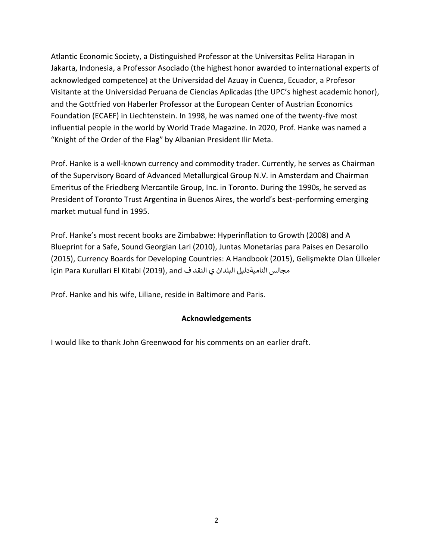Atlantic Economic Society, a Distinguished Professor at the Universitas Pelita Harapan in Jakarta, Indonesia, a Professor Asociado (the highest honor awarded to international experts of acknowledged competence) at the Universidad del Azuay in Cuenca, Ecuador, a Profesor Visitante at the Universidad Peruana de Ciencias Aplicadas (the UPC's highest academic honor), and the Gottfried von Haberler Professor at the European Center of Austrian Economics Foundation (ECAEF) in Liechtenstein. In 1998, he was named one of the twenty-five most influential people in the world by World Trade Magazine. In 2020, Prof. Hanke was named a "Knight of the Order of the Flag" by Albanian President Ilir Meta.

Prof. Hanke is a well-known currency and commodity trader. Currently, he serves as Chairman of the Supervisory Board of Advanced Metallurgical Group N.V. in Amsterdam and Chairman Emeritus of the Friedberg Mercantile Group, Inc. in Toronto. During the 1990s, he served as President of Toronto Trust Argentina in Buenos Aires, the world's best-performing emerging market mutual fund in 1995.

Prof. Hanke's most recent books are Zimbabwe: Hyperinflation to Growth (2008) and A Blueprint for a Safe, Sound Georgian Lari (2010), Juntas Monetarias para Paises en Desarollo (2015), Currency Boards for Developing Countries: A Handbook (2015), Gelişmekte Olan Ülkeler İçin Para Kurullari El Kitabi (2019), and ذمجالس الناميةدليل البلدان ي النقد ف

Prof. Hanke and his wife, Liliane, reside in Baltimore and Paris.

# **Acknowledgements**

I would like to thank John Greenwood for his comments on an earlier draft.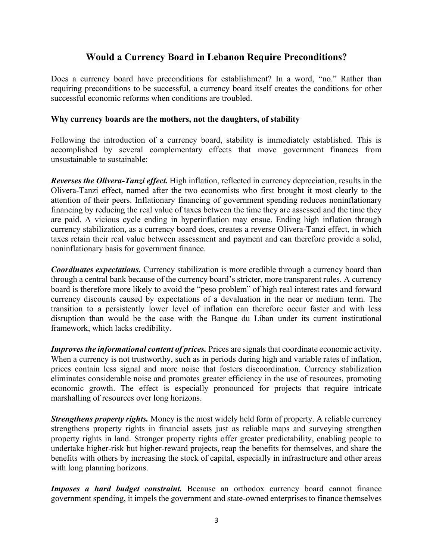# **Would a Currency Board in Lebanon Require Preconditions?**

Does a currency board have preconditions for establishment? In a word, "no." Rather than requiring preconditions to be successful, a currency board itself creates the conditions for other successful economic reforms when conditions are troubled.

### **Why currency boards are the mothers, not the daughters, of stability**

Following the introduction of a currency board, stability is immediately established. This is accomplished by several complementary effects that move government finances from unsustainable to sustainable:

*Reverses the Olivera-Tanzi effect.* High inflation, reflected in currency depreciation, results in the Olivera-Tanzi effect, named after the two economists who first brought it most clearly to the attention of their peers. Inflationary financing of government spending reduces noninflationary financing by reducing the real value of taxes between the time they are assessed and the time they are paid. A vicious cycle ending in hyperinflation may ensue. Ending high inflation through currency stabilization, as a currency board does, creates a reverse Olivera-Tanzi effect, in which taxes retain their real value between assessment and payment and can therefore provide a solid, noninflationary basis for government finance.

*Coordinates expectations.* Currency stabilization is more credible through a currency board than through a central bank because of the currency board's stricter, more transparent rules. A currency board is therefore more likely to avoid the "peso problem" of high real interest rates and forward currency discounts caused by expectations of a devaluation in the near or medium term. The transition to a persistently lower level of inflation can therefore occur faster and with less disruption than would be the case with the Banque du Liban under its current institutional framework, which lacks credibility.

*Improves the informational content of prices.* Prices are signals that coordinate economic activity. When a currency is not trustworthy, such as in periods during high and variable rates of inflation, prices contain less signal and more noise that fosters discoordination. Currency stabilization eliminates considerable noise and promotes greater efficiency in the use of resources, promoting economic growth. The effect is especially pronounced for projects that require intricate marshalling of resources over long horizons.

*Strengthens property rights.* Money is the most widely held form of property. A reliable currency strengthens property rights in financial assets just as reliable maps and surveying strengthen property rights in land. Stronger property rights offer greater predictability, enabling people to undertake higher-risk but higher-reward projects, reap the benefits for themselves, and share the benefits with others by increasing the stock of capital, especially in infrastructure and other areas with long planning horizons.

*Imposes a hard budget constraint.* Because an orthodox currency board cannot finance government spending, it impels the government and state-owned enterprises to finance themselves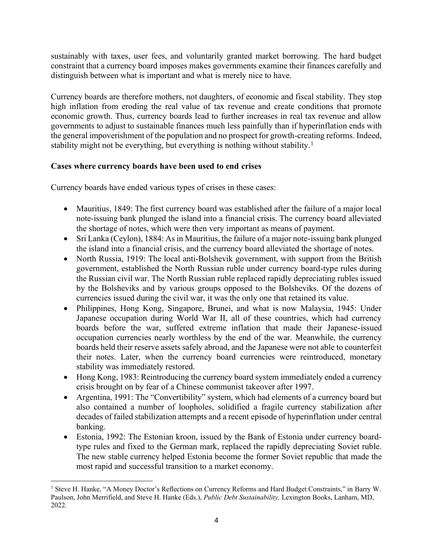sustainably with taxes, user fees, and voluntarily granted market borrowing. The hard budget constraint that a currency board imposes makes governments examine their finances carefully and distinguish between what is important and what is merely nice to have.

Currency boards are therefore mothers, not daughters, of economic and fiscal stability. They stop high inflation from eroding the real value of tax revenue and create conditions that promote economic growth. Thus, currency boards lead to further increases in real tax revenue and allow governments to adjust to sustainable finances much less painfully than if hyperinflation ends with the general impoverishment of the population and no prospect for growth-creating reforms. Indeed, stability might not be everything, but everything is nothing without stability.<sup>1</sup>

# **Cases where currency boards have been used to end crises**

Currency boards have ended various types of crises in these cases:

- Mauritius, 1849: The first currency board was established after the failure of a major local note-issuing bank plunged the island into a financial crisis. The currency board alleviated the shortage of notes, which were then very important as means of payment.
- $\bullet$  Sri Lanka (Ceylon), 1884: As in Mauritius, the failure of a major note-issuing bank plunged the island into a financial crisis, and the currency board alleviated the shortage of notes.
- North Russia, 1919: The local anti-Bolshevik government, with support from the British government, established the North Russian ruble under currency board-type rules during the Russian civil war. The North Russian ruble replaced rapidly depreciating rubles issued by the Bolsheviks and by various groups opposed to the Bolsheviks. Of the dozens of currencies issued during the civil war, it was the only one that retained its value.
- Philippines, Hong Kong, Singapore, Brunei, and what is now Malaysia, 1945: Under Japanese occupation during World War II, all of these countries, which had currency boards before the war, suffered extreme inflation that made their Japanese-issued occupation currencies nearly worthless by the end of the war. Meanwhile, the currency boards held their reserve assets safely abroad, and the Japanese were not able to counterfeit their notes. Later, when the currency board currencies were reintroduced, monetary stability was immediately restored.
- Hong Kong, 1983: Reintroducing the currency board system immediately ended a currency crisis brought on by fear of a Chinese communist takeover after 1997.
- Argentina, 1991: The "Convertibility" system, which had elements of a currency board but also contained a number of loopholes, solidified a fragile currency stabilization after decades of failed stabilization attempts and a recent episode of hyperinflation under central banking.
- Estonia, 1992: The Estonian kroon, issued by the Bank of Estonia under currency boardtype rules and fixed to the German mark, replaced the rapidly depreciating Soviet ruble. The new stable currency helped Estonia become the former Soviet republic that made the most rapid and successful transition to a market economy.

<sup>&</sup>lt;sup>1</sup> Steve H. Hanke, "A Money Doctor's Reflections on Currency Reforms and Hard Budget Constraints," in Barry W. Paulson, John Merrifield, and Steve H. Hanke (Eds.), *Public Debt Sustainability,* Lexington Books, Lanham, MD, 2022*.*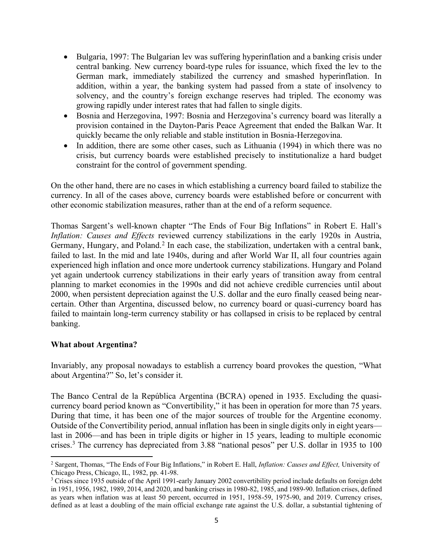- Bulgaria, 1997: The Bulgarian lev was suffering hyperinflation and a banking crisis under central banking. New currency board-type rules for issuance, which fixed the lev to the German mark, immediately stabilized the currency and smashed hyperinflation. In addition, within a year, the banking system had passed from a state of insolvency to solvency, and the country's foreign exchange reserves had tripled. The economy was growing rapidly under interest rates that had fallen to single digits.
- Bosnia and Herzegovina, 1997: Bosnia and Herzegovina's currency board was literally a provision contained in the Dayton-Paris Peace Agreement that ended the Balkan War. It quickly became the only reliable and stable institution in Bosnia-Herzegovina.
- $\bullet$  In addition, there are some other cases, such as Lithuania (1994) in which there was no crisis, but currency boards were established precisely to institutionalize a hard budget constraint for the control of government spending.

On the other hand, there are no cases in which establishing a currency board failed to stabilize the currency. In all of the cases above, currency boards were established before or concurrent with other economic stabilization measures, rather than at the end of a reform sequence.

Thomas Sargent's well-known chapter "The Ends of Four Big Inflations" in Robert E. Hall's *Inflation: Causes and Effects* reviewed currency stabilizations in the early 1920s in Austria, Germany, Hungary, and Poland.<sup>2</sup> In each case, the stabilization, undertaken with a central bank, failed to last. In the mid and late 1940s, during and after World War II, all four countries again experienced high inflation and once more undertook currency stabilizations. Hungary and Poland yet again undertook currency stabilizations in their early years of transition away from central planning to market economies in the 1990s and did not achieve credible currencies until about 2000, when persistent depreciation against the U.S. dollar and the euro finally ceased being nearcertain. Other than Argentina, discussed below, no currency board or quasi-currency board has failed to maintain long-term currency stability or has collapsed in crisis to be replaced by central banking.

### **What about Argentina?**

Invariably, any proposal nowadays to establish a currency board provokes the question, "What about Argentina?" So, let's consider it.

The Banco Central de la República Argentina (BCRA) opened in 1935. Excluding the quasicurrency board period known as "Convertibility," it has been in operation for more than 75 years. During that time, it has been one of the major sources of trouble for the Argentine economy. Outside of the Convertibility period, annual inflation has been in single digits only in eight years last in 2006—and has been in triple digits or higher in 15 years, leading to multiple economic crises.<sup>3</sup> The currency has depreciated from  $3.88$  "national pesos" per U.S. dollar in 1935 to 100

<sup>&</sup>lt;sup>2</sup> Sargent, Thomas, "The Ends of Four Big Inflations," in Robert E. Hall, *Inflation: Causes and Effect*, University of Chicago Press, Chicago, IL, 1982, pp. 41-98.

<sup>&</sup>lt;sup>3</sup> Crises since 1935 outside of the April 1991-early January 2002 convertibility period include defaults on foreign debt in 1951, 1956, 1982, 1989, 2014, and 2020, and banking crises in 1980-82, 1985, and 1989-90. Inflation crises, defined as years when inflation was at least 50 percent, occurred in 1951, 1958-59, 1975-90, and 2019. Currency crises, defined as at least a doubling of the main official exchange rate against the U.S. dollar, a substantial tightening of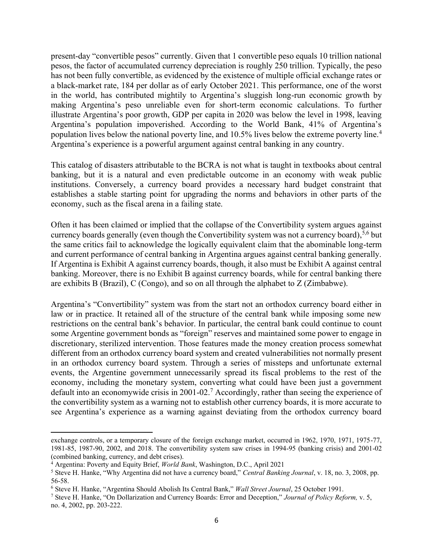present-day "convertible pesos" currently. Given that 1 convertible peso equals 10 trillion national pesos, the factor of accumulated currency depreciation is roughly 250 trillion. Typically, the peso has not been fully convertible, as evidenced by the existence of multiple official exchange rates or a black-market rate, 184 per dollar as of early October 2021. This performance, one of the worst in the world, has contributed mightily to Argentina's sluggish long-run economic growth by making Argentina's peso unreliable even for short-term economic calculations. To further illustrate Argentina's poor growth, GDP per capita in 2020 was below the level in 1998, leaving Argentina's population impoverished. According to the World Bank, 41% of Argentina's population lives below the national poverty line, and 10.5% lives below the extreme poverty line.<sup>4</sup> Argentina's experience is a powerful argument against central banking in any country.

This catalog of disasters attributable to the BCRA is not what is taught in textbooks about central banking, but it is a natural and even predictable outcome in an economy with weak public institutions. Conversely, a currency board provides a necessary hard budget constraint that establishes a stable starting point for upgrading the norms and behaviors in other parts of the economy, such as the fiscal arena in a failing state.

Often it has been claimed or implied that the collapse of the Convertibility system argues against currency boards generally (even though the Convertibility system was not a currency board),<sup>5,6</sup> but the same critics fail to acknowledge the logically equivalent claim that the abominable long-term and current performance of central banking in Argentina argues against central banking generally. If Argentina is Exhibit A against currency boards, though, it also must be Exhibit A against central banking. Moreover, there is no Exhibit B against currency boards, while for central banking there are exhibits B (Brazil), C (Congo), and so on all through the alphabet to Z (Zimbabwe).

Argentina's "Convertibility" system was from the start not an orthodox currency board either in law or in practice. It retained all of the structure of the central bank while imposing some new restrictions on the central bank's behavior. In particular, the central bank could continue to count some Argentine government bonds as "foreign" reserves and maintained some power to engage in discretionary, sterilized intervention. Those features made the money creation process somewhat different from an orthodox currency board system and created vulnerabilities not normally present in an orthodox currency board system. Through a series of missteps and unfortunate external events, the Argentine government unnecessarily spread its fiscal problems to the rest of the economy, including the monetary system, converting what could have been just a government default into an economywide crisis in 2001-02. <sup>7</sup> Accordingly, rather than seeing the experience of the convertibility system as a warning not to establish other currency boards, it is more accurate to see Argentina's experience as a warning against deviating from the orthodox currency board

exchange controls, or a temporary closure of the foreign exchange market, occurred in 1962, 1970, 1971, 1975-77, 1981-85, 1987-90, 2002, and 2018. The convertibility system saw crises in 1994-95 (banking crisis) and 2001-02 (combined banking, currency, and debt crises).

<sup>4</sup> Argentina: Poverty and Equity Brief, *World Bank*, Washington, D.C., April 2021

<sup>&</sup>lt;sup>5</sup> Steve H. Hanke, "Why Argentina did not have a currency board," *Central Banking Journal*, v. 18, no. 3, 2008, pp. 56-58.

<sup>&</sup>lt;sup>6</sup> Steve H. Hanke, "Argentina Should Abolish Its Central Bank," Wall Street Journal, 25 October 1991.

<sup>&</sup>lt;sup>7</sup> Steve H. Hanke, "On Dollarization and Currency Boards: Error and Deception," Journal of Policy Reform, v. 5, no. 4, 2002, pp. 203-222.